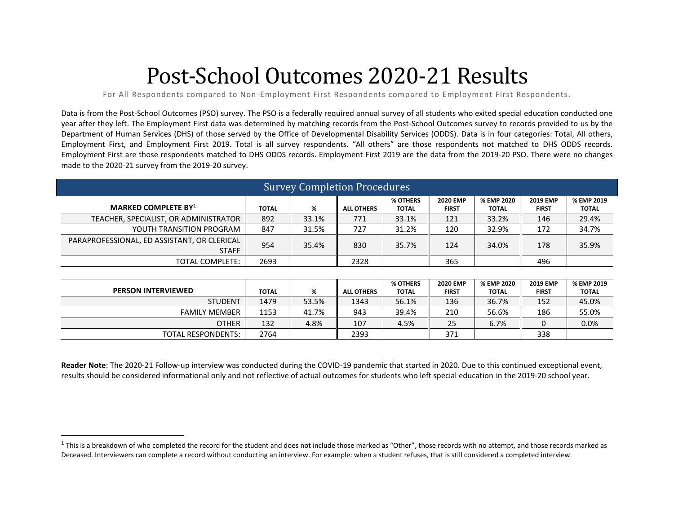# Post-School Outcomes 2020-21 Results

For All Respondents compared to Non-Employment First Respondents compared to Employment First Respondents.

Data is from the Post-School Outcomes (PSO) survey. The PSO is a federally required annual survey of all students who exited special education conducted one year after they left. The Employment First data was determined by matching records from the Post-School Outcomes survey to records provided to us by the Department of Human Services (DHS) of those served by the Office of Developmental Disability Services (ODDS). Data is in four categories: Total, All others, Employment First, and Employment First 2019. Total is all survey respondents. "All others" are those respondents not matched to DHS ODDS records. Employment First are those respondents matched to DHS ODDS records. Employment First 2019 are the data from the 2019-20 PSO. There were no changes made to the 2020-21 survey from the 2019-20 survey.

| <b>Survey Completion Procedures</b>                         |              |       |                   |                          |                                 |                            |                                 |                            |  |  |
|-------------------------------------------------------------|--------------|-------|-------------------|--------------------------|---------------------------------|----------------------------|---------------------------------|----------------------------|--|--|
| <b>MARKED COMPLETE BY</b> <sup>1</sup>                      | <b>TOTAL</b> | %     | <b>ALL OTHERS</b> | % OTHERS<br><b>TOTAL</b> | <b>2020 EMP</b><br><b>FIRST</b> | % EMP 2020<br><b>TOTAL</b> | <b>2019 EMP</b><br><b>FIRST</b> | % EMP 2019<br>ΤΟΤΑL        |  |  |
| TEACHER, SPECIALIST, OR ADMINISTRATOR                       | 892          | 33.1% | 771               | 33.1%                    | 121                             | 33.2%                      | 146                             | 29.4%                      |  |  |
| YOUTH TRANSITION PROGRAM                                    | 847          | 31.5% | 727               | 31.2%                    | 120                             | 32.9%                      | 172                             | 34.7%                      |  |  |
| PARAPROFESSIONAL, ED ASSISTANT, OR CLERICAL<br><b>STAFF</b> | 954          | 35.4% | 830               | 35.7%                    | 124                             | 34.0%                      | 178                             | 35.9%                      |  |  |
| TOTAL COMPLETE:                                             | 2693         |       | 2328              |                          | 365                             |                            | 496                             |                            |  |  |
|                                                             |              |       |                   |                          |                                 |                            |                                 |                            |  |  |
| <b>PERSON INTERVIEWED</b>                                   | <b>TOTAL</b> | %     | <b>ALL OTHERS</b> | % OTHERS<br><b>TOTAL</b> | <b>2020 EMP</b><br><b>FIRST</b> | % EMP 2020<br><b>TOTAL</b> | <b>2019 EMP</b><br><b>FIRST</b> | % EMP 2019<br><b>TOTAL</b> |  |  |
| <b>STUDENT</b>                                              | 1479         | 53.5% | 1343              | 56.1%                    | 136                             | 36.7%                      | 152                             | 45.0%                      |  |  |
| <b>FAMILY MEMBER</b>                                        | 1153         | 41.7% | 943               | 39.4%                    | 210                             | 56.6%                      | 186                             | 55.0%                      |  |  |
| <b>OTHER</b>                                                | 132          | 4.8%  | 107               | 4.5%                     | 25                              | 6.7%                       | $\mathbf{0}$                    | 0.0%                       |  |  |
| TOTAL RESPONDENTS:                                          | 2764         |       | 2393              |                          | 371                             |                            | 338                             |                            |  |  |

**Reader Note**: The 2020-21 Follow-up interview was conducted during the COVID-19 pandemic that started in 2020. Due to this continued exceptional event, results should be considered informational only and not reflective of actual outcomes for students who left special education in the 2019-20 school year.

 $^1$  This is a breakdown of who completed the record for the student and does not include those marked as "Other", those records with no attempt, and those records marked as Deceased. Interviewers can complete a record without conducting an interview. For example: when a student refuses, that is still considered a completed interview.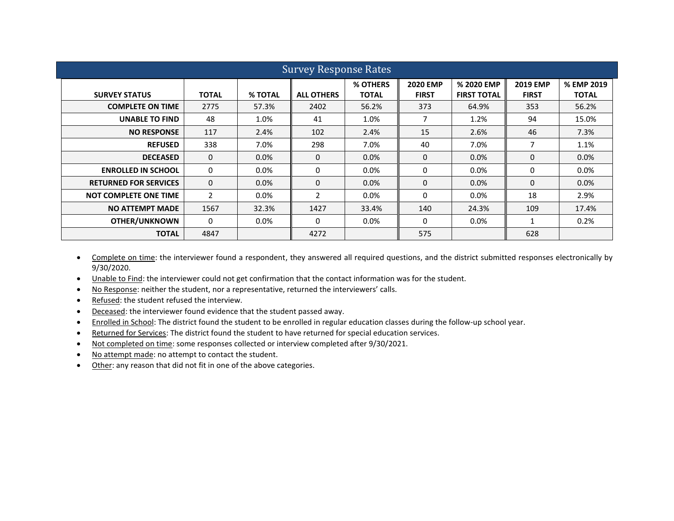|                              | <b>Survey Response Rates</b> |                |                   |                          |                                 |                                  |                                 |                            |  |  |  |  |
|------------------------------|------------------------------|----------------|-------------------|--------------------------|---------------------------------|----------------------------------|---------------------------------|----------------------------|--|--|--|--|
| <b>SURVEY STATUS</b>         | <b>TOTAL</b>                 | <b>% TOTAL</b> | <b>ALL OTHERS</b> | % OTHERS<br><b>TOTAL</b> | <b>2020 EMP</b><br><b>FIRST</b> | % 2020 EMP<br><b>FIRST TOTAL</b> | <b>2019 EMP</b><br><b>FIRST</b> | % EMP 2019<br><b>TOTAL</b> |  |  |  |  |
| <b>COMPLETE ON TIME</b>      | 2775                         | 57.3%          | 2402              | 56.2%                    | 373                             | 64.9%                            | 353                             | 56.2%                      |  |  |  |  |
| <b>UNABLE TO FIND</b>        | 48                           | 1.0%           | 41                | 1.0%                     | 7                               | 1.2%                             | 94                              | 15.0%                      |  |  |  |  |
| <b>NO RESPONSE</b>           | 117                          | 2.4%           | 102               | 2.4%                     | 15                              | 2.6%                             | 46                              | 7.3%                       |  |  |  |  |
| <b>REFUSED</b>               | 338                          | 7.0%           | 298               | 7.0%                     | 40                              | 7.0%                             | 7                               | 1.1%                       |  |  |  |  |
| <b>DECEASED</b>              | $\mathbf{0}$                 | $0.0\%$        | $\Omega$          | $0.0\%$                  | 0                               | $0.0\%$                          | $\Omega$                        | 0.0%                       |  |  |  |  |
| <b>ENROLLED IN SCHOOL</b>    | 0                            | $0.0\%$        | 0                 | $0.0\%$                  | 0                               | $0.0\%$                          | $\Omega$                        | $0.0\%$                    |  |  |  |  |
| <b>RETURNED FOR SERVICES</b> | $\Omega$                     | $0.0\%$        | $\Omega$          | 0.0%                     | $\Omega$                        | $0.0\%$                          | $\Omega$                        | $0.0\%$                    |  |  |  |  |
| <b>NOT COMPLETE ONE TIME</b> | 2                            | $0.0\%$        | $\overline{2}$    | $0.0\%$                  | 0                               | $0.0\%$                          | 18                              | 2.9%                       |  |  |  |  |
| <b>NO ATTEMPT MADE</b>       | 1567                         | 32.3%          | 1427              | 33.4%                    | 140                             | 24.3%                            | 109                             | 17.4%                      |  |  |  |  |
| <b>OTHER/UNKNOWN</b>         | $\Omega$                     | $0.0\%$        | $\Omega$          | $0.0\%$                  | 0                               | $0.0\%$                          | $\mathbf{1}$                    | 0.2%                       |  |  |  |  |
| <b>TOTAL</b>                 | 4847                         |                | 4272              |                          | 575                             |                                  | 628                             |                            |  |  |  |  |

- Complete on time: the interviewer found a respondent, they answered all required questions, and the district submitted responses electronically by 9/30/2020.
- Unable to Find: the interviewer could not get confirmation that the contact information was for the student.
- No Response: neither the student, nor a representative, returned the interviewers' calls.
- Refused: the student refused the interview.
- Deceased: the interviewer found evidence that the student passed away.
- Enrolled in School: The district found the student to be enrolled in regular education classes during the follow-up school year.
- Returned for Services: The district found the student to have returned for special education services.
- Not completed on time: some responses collected or interview completed after 9/30/2021.
- No attempt made: no attempt to contact the student.
- Other: any reason that did not fit in one of the above categories.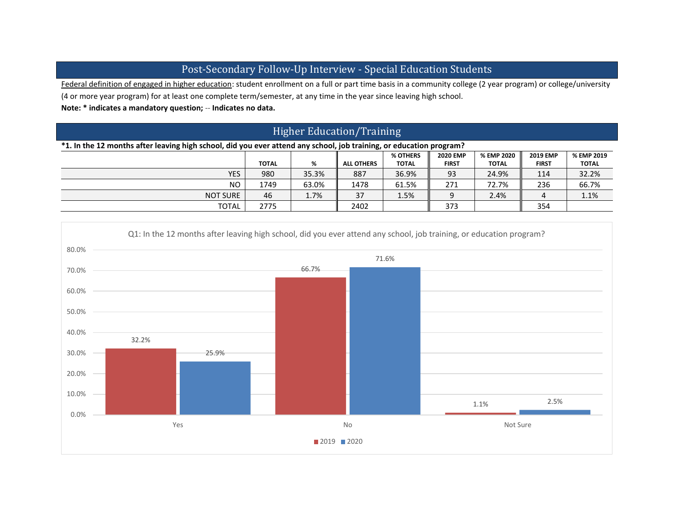## Post-Secondary Follow-Up Interview - Special Education Students

Federal definition of engaged in higher education: student enrollment on a full or part time basis in a community college (2 year program) or college/university (4 or more year program) for at least one complete term/semester, at any time in the year since leaving high school.

**Note: \* indicates a mandatory question;** -- **Indicates no data.**

# Higher Education/Training

### **\*1. In the 12 months after leaving high school, did you ever attend any school, job training, or education program?**

|                 |              |       |                   | % OTHERS     | <b>2020 EMP</b> | % EMP 2020   | <b>2019 EMP</b> | % EMP 2019   |
|-----------------|--------------|-------|-------------------|--------------|-----------------|--------------|-----------------|--------------|
|                 | <b>TOTAL</b> | %     | <b>ALL OTHERS</b> | <b>TOTAL</b> | <b>FIRST</b>    | <b>TOTAL</b> | <b>FIRST</b>    | <b>TOTAL</b> |
| <b>YES</b>      | 980          | 35.3% | 887               | 36.9%        | 93              | 24.9%        | 114             | 32.2%        |
| N <sub>O</sub>  | 1749         | 63.0% | 1478              | 61.5%        | 271             | 72.7%        | 236             | 66.7%        |
| <b>NOT SURE</b> | 46           | 1.7%  | 37                | 1.5%         |                 | 2.4%         |                 | 1.1%         |
| <b>TOTAL</b>    | 2775         |       | 2402              |              | 373             |              | 354             |              |

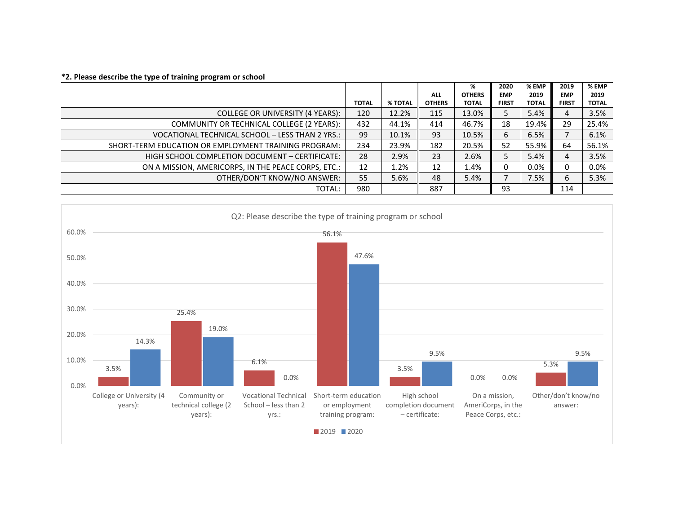|                                                      |              |         |               | %             | 2020         | % EMP        | 2019         | % EMP        |
|------------------------------------------------------|--------------|---------|---------------|---------------|--------------|--------------|--------------|--------------|
|                                                      |              |         | <b>ALL</b>    | <b>OTHERS</b> | <b>EMP</b>   | 2019         | <b>EMP</b>   | 2019         |
|                                                      | <b>TOTAL</b> | % TOTAL | <b>OTHERS</b> | <b>TOTAL</b>  | <b>FIRST</b> | <b>TOTAL</b> | <b>FIRST</b> | <b>TOTAL</b> |
| COLLEGE OR UNIVERSITY (4 YEARS):                     | 120          | 12.2%   | 115           | 13.0%         | 5            | 5.4%         | 4            | 3.5%         |
| COMMUNITY OR TECHNICAL COLLEGE (2 YEARS):            | 432          | 44.1%   | 414           | 46.7%         | 18           | 19.4%        | 29           | 25.4%        |
| VOCATIONAL TECHNICAL SCHOOL - LESS THAN 2 YRS.:      | 99           | 10.1%   | 93            | 10.5%         | 6            | 6.5%         |              | 6.1%         |
| SHORT-TERM EDUCATION OR EMPLOYMENT TRAINING PROGRAM: | 234          | 23.9%   | 182           | 20.5%         | 52           | 55.9%        | 64           | 56.1%        |
| HIGH SCHOOL COMPLETION DOCUMENT - CERTIFICATE:       | 28           | 2.9%    | 23            | 2.6%          | 5            | 5.4%         | 4            | 3.5%         |
| ON A MISSION, AMERICORPS, IN THE PEACE CORPS, ETC.:  | 12           | 1.2%    | 12            | 1.4%          | 0            | $0.0\%$      | 0            | $0.0\%$      |
| OTHER/DON'T KNOW/NO ANSWER:                          | 55           | 5.6%    | 48            | 5.4%          | ⇁            | 7.5%         | 6            | 5.3%         |
| TOTAL:                                               | 980          |         | 887           |               | 93           |              | 114          |              |



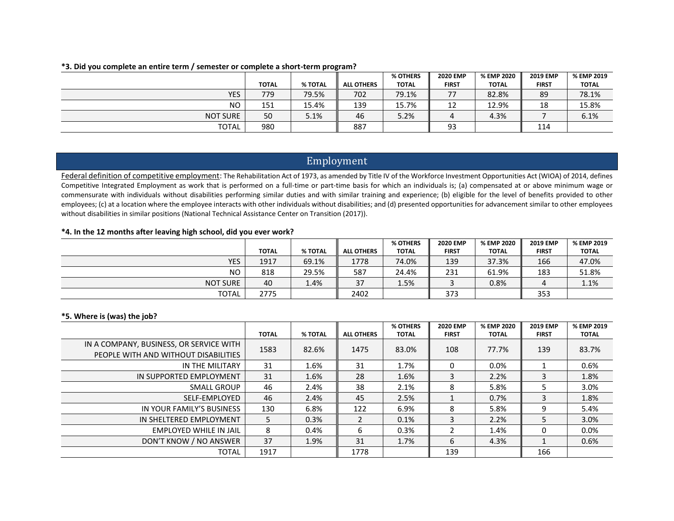|                 |              |         |                   | % OTHERS     | <b>2020 EMP</b> | % EMP 2020   | <b>2019 EMP</b> | % EMP 2019   |
|-----------------|--------------|---------|-------------------|--------------|-----------------|--------------|-----------------|--------------|
|                 | <b>TOTAL</b> | % TOTAL | <b>ALL OTHERS</b> | <b>TOTAL</b> | <b>FIRST</b>    | <b>TOTAL</b> | <b>FIRST</b>    | <b>TOTAL</b> |
| <b>YES</b>      | 779          | 79.5%   | 702               | 79.1%        | 77              | 82.8%        | 89              | 78.1%        |
| <b>NO</b>       | 151          | 15.4%   | 139               | 15.7%        | 12              | 12.9%        | 18              | 15.8%        |
| <b>NOT SURE</b> | 50           | 5.1%    | 46                | 5.2%         |                 | 4.3%         |                 | 6.1%         |
| <b>TOTAL</b>    | 980          |         | 887               |              | 93              |              | 114             |              |

#### **\*3. Did you complete an entire term / semester or complete a short-term program?**

## Employment

Federal definition of competitive employment: The Rehabilitation Act of 1973, as amended by Title IV of the Workforce Investment Opportunities Act (WIOA) of 2014, defines Competitive Integrated Employment as work that is performed on a full-time or part-time basis for which an individuals is; (a) compensated at or above minimum wage or commensurate with individuals without disabilities performing similar duties and with similar training and experience; (b) eligible for the level of benefits provided to other employees; (c) at a location where the employee interacts with other individuals without disabilities; and (d) presented opportunities for advancement similar to other employees without disabilities in similar positions (National Technical Assistance Center on Transition (2017)).

#### **\*4. In the 12 months after leaving high school, did you ever work?**

|                 |              |         |                   | % OTHERS     | <b>2020 EMP</b> | % EMP 2020   | <b>2019 EMP</b> | % EMP 2019   |
|-----------------|--------------|---------|-------------------|--------------|-----------------|--------------|-----------------|--------------|
|                 | <b>TOTAL</b> | % TOTAL | <b>ALL OTHERS</b> | <b>TOTAL</b> | <b>FIRST</b>    | <b>TOTAL</b> | <b>FIRST</b>    | <b>TOTAL</b> |
| <b>YES</b>      | 1917         | 69.1%   | 1778              | 74.0%        | 139             | 37.3%        | 166             | 47.0%        |
| <b>NO</b>       | 818          | 29.5%   | 587               | 24.4%        | 231             | 61.9%        | 183             | 51.8%        |
| <b>NOT SURE</b> | 40           | 1.4%    | 37                | 1.5%         |                 | 0.8%         |                 | 1.1%         |
| <b>TOTAL</b>    | 2775         |         | 2402              |              | 373             |              | 353             |              |

#### **\*5. Where is (was) the job?**

|                                                                                 | <b>TOTAL</b> | % TOTAL | <b>ALL OTHERS</b> | % OTHERS<br><b>TOTAL</b> | <b>2020 EMP</b><br><b>FIRST</b> | % EMP 2020<br>TOTAL | <b>2019 EMP</b><br><b>FIRST</b> | % EMP 2019<br><b>TOTAL</b> |
|---------------------------------------------------------------------------------|--------------|---------|-------------------|--------------------------|---------------------------------|---------------------|---------------------------------|----------------------------|
| IN A COMPANY, BUSINESS, OR SERVICE WITH<br>PEOPLE WITH AND WITHOUT DISABILITIES | 1583         | 82.6%   | 1475              | 83.0%                    | 108                             | 77.7%               | 139                             | 83.7%                      |
| IN THE MILITARY                                                                 | 31           | 1.6%    | 31                | 1.7%                     |                                 | $0.0\%$             |                                 | 0.6%                       |
| IN SUPPORTED EMPLOYMENT                                                         | 31           | 1.6%    | 28                | 1.6%                     |                                 | 2.2%                |                                 | 1.8%                       |
| SMALL GROUP                                                                     | 46           | 2.4%    | 38                | 2.1%                     | 8                               | 5.8%                | ר                               | 3.0%                       |
| SELF-EMPLOYED                                                                   | 46           | 2.4%    | 45                | 2.5%                     |                                 | 0.7%                | 3                               | 1.8%                       |
| IN YOUR FAMILY'S BUSINESS                                                       | 130          | 6.8%    | 122               | 6.9%                     | 8                               | 5.8%                | 9                               | 5.4%                       |
| IN SHELTERED EMPLOYMENT                                                         | 5.           | 0.3%    |                   | 0.1%                     | 3                               | 2.2%                | 5                               | 3.0%                       |
| EMPLOYED WHILE IN JAIL                                                          | 8            | 0.4%    | 6                 | 0.3%                     |                                 | 1.4%                | 0                               | $0.0\%$                    |
| DON'T KNOW / NO ANSWER                                                          | 37           | 1.9%    | 31                | 1.7%                     | 6                               | 4.3%                |                                 | 0.6%                       |
| <b>TOTAL</b>                                                                    | 1917         |         | 1778              |                          | 139                             |                     | 166                             |                            |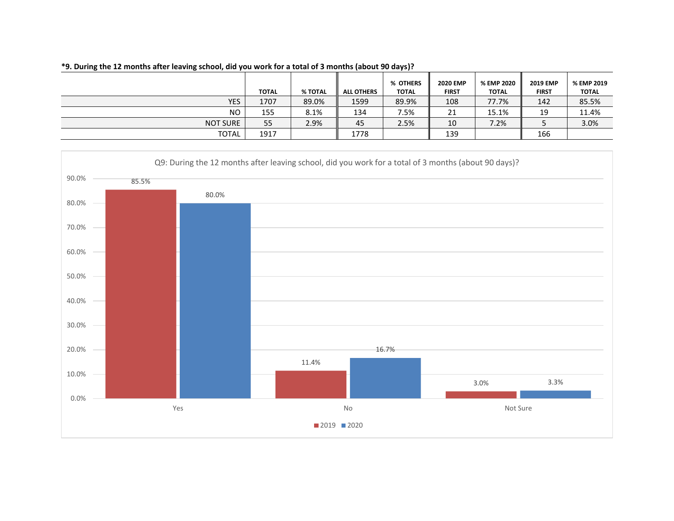|              | <b>TOTAL</b> | % TOTAL | <b>ALL OTHERS</b> | % OTHERS<br><b>TOTAL</b> | <b>2020 EMP</b><br><b>FIRST</b> | % EMP 2020<br><b>TOTAL</b> | <b>2019 EMP</b><br><b>FIRST</b> | % EMP 2019<br><b>TOTAL</b> |
|--------------|--------------|---------|-------------------|--------------------------|---------------------------------|----------------------------|---------------------------------|----------------------------|
| <b>YES</b>   | 1707         | 89.0%   | 1599              | 89.9%                    | 108                             | 77.7%                      | 142                             | 85.5%                      |
| <b>NO</b>    | 155          | 8.1%    | 134               | 7.5%                     | ን1                              | 15.1%                      | 19                              | 11.4%                      |
| NOT SURE     | 55           | 2.9%    | 45                | 2.5%                     | 10                              | 7.2%                       |                                 | 3.0%                       |
| <b>TOTAL</b> | 1917         |         | 1778              |                          | 139                             |                            | 166                             |                            |

#### **\*9. During the 12 months after leaving school, did you work for a total of 3 months (about 90 days)?**

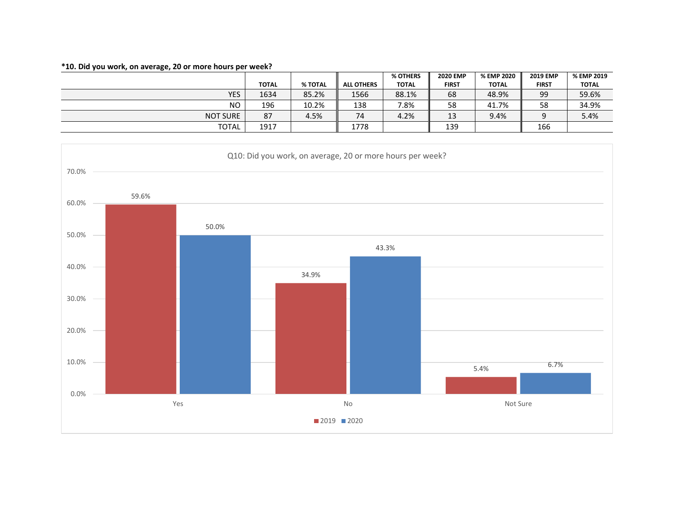## **\*10. Did you work, on average, 20 or more hours per week?**

|                 |              |         |                   | % OTHERS     | <b>2020 EMP</b> | % EMP 2020   | <b>2019 EMP</b> | % EMP 2019   |
|-----------------|--------------|---------|-------------------|--------------|-----------------|--------------|-----------------|--------------|
|                 | <b>TOTAL</b> | % TOTAL | <b>ALL OTHERS</b> | <b>TOTAL</b> | <b>FIRST</b>    | <b>TOTAL</b> | <b>FIRST</b>    | <b>TOTAL</b> |
| <b>YES</b>      | 1634         | 85.2%   | 1566              | 88.1%        | 68              | 48.9%        | 99              | 59.6%        |
| NO.             | 196          | 10.2%   | 138               | 7.8%         | 58              | 41.7%        | 58              | 34.9%        |
| <b>NOT SURE</b> | 87           | 4.5%    | 74                | 4.2%         | 13              | 9.4%         |                 | 5.4%         |
| TOTAL           | 1917         |         | 1778              |              | 139             |              | 166             |              |

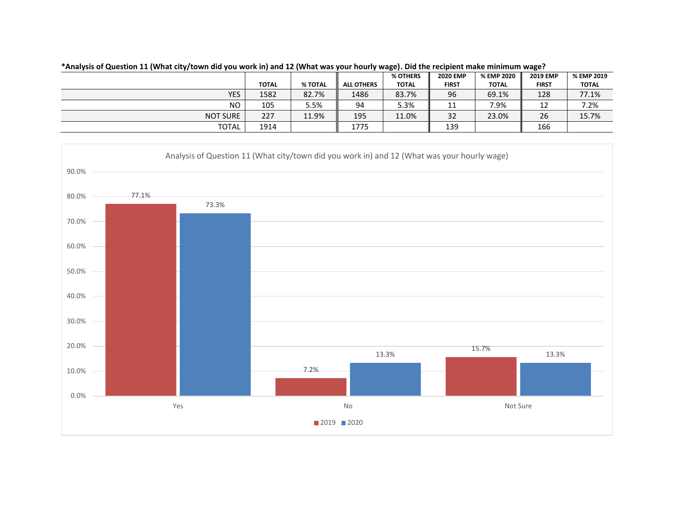| % EMP 2019   |
|--------------|
| <b>TOTAL</b> |
| 77.1%        |
| 7.2%         |
| 15.7%        |
|              |
|              |

**\*Analysis of Question 11 (What city/town did you work in) and 12 (What was your hourly wage). Did the recipient make minimum wage?**

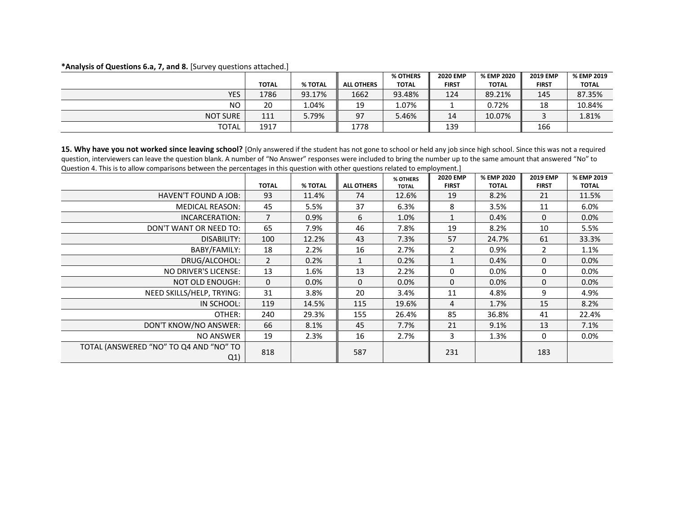#### **\*Analysis of Questions 6.a, 7, and 8.** [Survey questions attached.]

|                 |              |         |                   | % OTHERS     | <b>2020 EMP</b> | % EMP 2020   | <b>2019 EMP</b> | % EMP 2019   |
|-----------------|--------------|---------|-------------------|--------------|-----------------|--------------|-----------------|--------------|
|                 | <b>TOTAL</b> | % TOTAL | <b>ALL OTHERS</b> | <b>TOTAL</b> | <b>FIRST</b>    | <b>TOTAL</b> | <b>FIRST</b>    | <b>TOTAL</b> |
| <b>YES</b>      | 1786         | 93.17%  | 1662              | 93.48%       | 124             | 89.21%       | 145             | 87.35%       |
| <b>NO</b>       | 20           | 1.04%   | 19                | 1.07%        |                 | 0.72%        | 18              | 10.84%       |
| <b>NOT SURE</b> | 111          | 5.79%   | 97                | 5.46%        | 14              | 10.07%       |                 | 1.81%        |
| <b>TOTAL</b>    | 1917         |         | 1778              |              | 139             |              | 166             |              |

15. Why have you not worked since leaving school? [Only answered if the student has not gone to school or held any job since high school. Since this was not a required question, interviewers can leave the question blank. A number of "No Answer" responses were included to bring the number up to the same amount that answered "No" to Question 4. This is to allow comparisons between the percentages in this question with other questions related to employment.]

|                                               |                |         |                   | % OTHERS     | <b>2020 EMP</b> | % EMP 2020   | <b>2019 EMP</b> | % EMP 2019   |
|-----------------------------------------------|----------------|---------|-------------------|--------------|-----------------|--------------|-----------------|--------------|
|                                               | <b>TOTAL</b>   | % TOTAL | <b>ALL OTHERS</b> | <b>TOTAL</b> | <b>FIRST</b>    | <b>TOTAL</b> | <b>FIRST</b>    | <b>TOTAL</b> |
| HAVEN'T FOUND A JOB:                          | 93             | 11.4%   | 74                | 12.6%        | 19              | 8.2%         | 21              | 11.5%        |
| <b>MEDICAL REASON:</b>                        | 45             | 5.5%    | 37                | 6.3%         | 8               | 3.5%         | 11              | 6.0%         |
| INCARCERATION:                                | $\overline{7}$ | 0.9%    | 6                 | 1.0%         |                 | 0.4%         | 0               | 0.0%         |
| DON'T WANT OR NEED TO:                        | 65             | 7.9%    | 46                | 7.8%         | 19              | 8.2%         | 10              | 5.5%         |
| DISABILITY:                                   | 100            | 12.2%   | 43                | 7.3%         | 57              | 24.7%        | 61              | 33.3%        |
| BABY/FAMILY:                                  | 18             | 2.2%    | 16                | 2.7%         | $\overline{2}$  | 0.9%         | 2               | 1.1%         |
| DRUG/ALCOHOL:                                 | $\overline{2}$ | 0.2%    |                   | 0.2%         |                 | 0.4%         | $\Omega$        | 0.0%         |
| NO DRIVER'S LICENSE:                          | 13             | 1.6%    | 13                | 2.2%         | $\Omega$        | $0.0\%$      | 0               | $0.0\%$      |
| NOT OLD ENOUGH:                               | 0              | 0.0%    | $\Omega$          | 0.0%         | $\Omega$        | $0.0\%$      | 0               | 0.0%         |
| NEED SKILLS/HELP, TRYING:                     | 31             | 3.8%    | 20                | 3.4%         | 11              | 4.8%         | 9               | 4.9%         |
| IN SCHOOL:                                    | 119            | 14.5%   | 115               | 19.6%        | 4               | 1.7%         | 15              | 8.2%         |
| OTHER:                                        | 240            | 29.3%   | 155               | 26.4%        | 85              | 36.8%        | 41              | 22.4%        |
| DON'T KNOW/NO ANSWER:                         | 66             | 8.1%    | 45                | 7.7%         | 21              | 9.1%         | 13              | 7.1%         |
| NO ANSWER                                     | 19             | 2.3%    | 16                | 2.7%         | 3               | 1.3%         | 0               | $0.0\%$      |
| TOTAL (ANSWERED "NO" TO Q4 AND "NO" TO<br>Q1) | 818            |         | 587               |              | 231             |              | 183             |              |